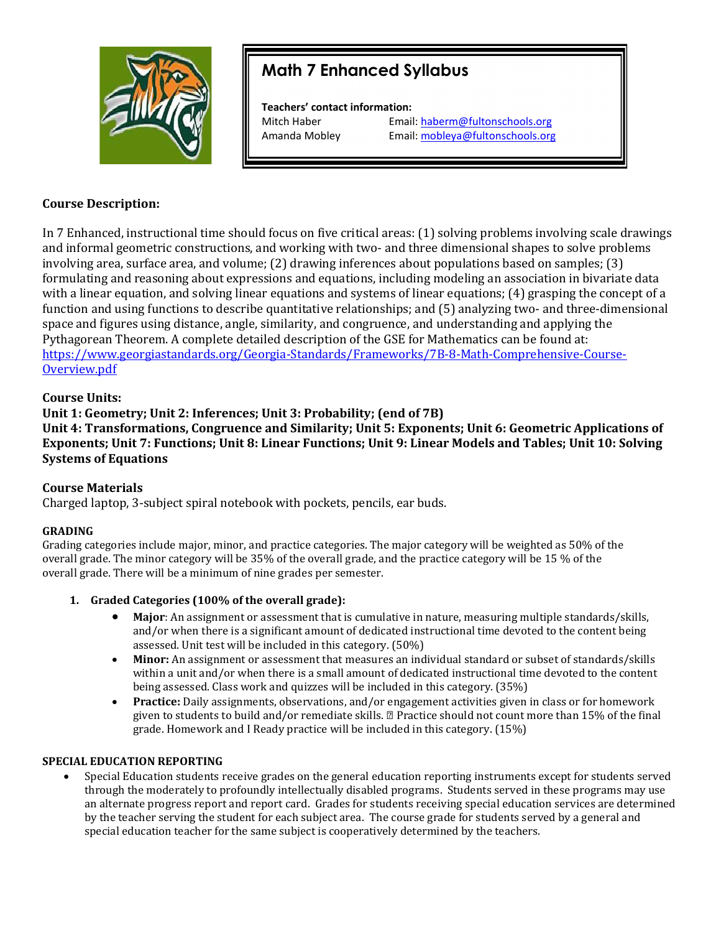

# Math 7 Enhanced Syllabus

Teachers' contact information:

Mitch Haber **Email:** haberm@fultonschools.org Amanda Mobley Email: mobleya@fultonschools.org

## Course Description:

In 7 Enhanced, instructional time should focus on five critical areas: (1) solving problems involving scale drawings and informal geometric constructions, and working with two- and three dimensional shapes to solve problems involving area, surface area, and volume; (2) drawing inferences about populations based on samples; (3) formulating and reasoning about expressions and equations, including modeling an association in bivariate data with a linear equation, and solving linear equations and systems of linear equations; (4) grasping the concept of a function and using functions to describe quantitative relationships; and (5) analyzing two- and three-dimensional space and figures using distance, angle, similarity, and congruence, and understanding and applying the Pythagorean Theorem. A complete detailed description of the GSE for Mathematics can be found at: https://www.georgiastandards.org/Georgia-Standards/Frameworks/7B-8-Math-Comprehensive-Course-Overview.pdf

## Course Units:

# Unit 1: Geometry; Unit 2: Inferences; Unit 3: Probability; (end of 7B)

Unit 4: Transformations, Congruence and Similarity; Unit 5: Exponents; Unit 6: Geometric Applications of Exponents; Unit 7: Functions; Unit 8: Linear Functions; Unit 9: Linear Models and Tables; Unit 10: Solving Systems of Equations

## Course Materials

Charged laptop, 3-subject spiral notebook with pockets, pencils, ear buds.

## GRADING

Grading categories include major, minor, and practice categories. The major category will be weighted as 50% of the overall grade. The minor category will be 35% of the overall grade, and the practice category will be 15 % of the overall grade. There will be a minimum of nine grades per semester.

## 1. Graded Categories (100% of the overall grade):

- Major: An assignment or assessment that is cumulative in nature, measuring multiple standards/skills, and/or when there is a significant amount of dedicated instructional time devoted to the content being assessed. Unit test will be included in this category. (50%)
- Minor: An assignment or assessment that measures an individual standard or subset of standards/skills within a unit and/or when there is a small amount of dedicated instructional time devoted to the content being assessed. Class work and quizzes will be included in this category. (35%)
- Practice: Daily assignments, observations, and/or engagement activities given in class or for homework given to students to build and/or remediate skills. Practice should not count more than 15% of the final grade. Homework and I Ready practice will be included in this category. (15%)

## SPECIAL EDUCATION REPORTING

 Special Education students receive grades on the general education reporting instruments except for students served through the moderately to profoundly intellectually disabled programs. Students served in these programs may use an alternate progress report and report card. Grades for students receiving special education services are determined by the teacher serving the student for each subject area. The course grade for students served by a general and special education teacher for the same subject is cooperatively determined by the teachers.